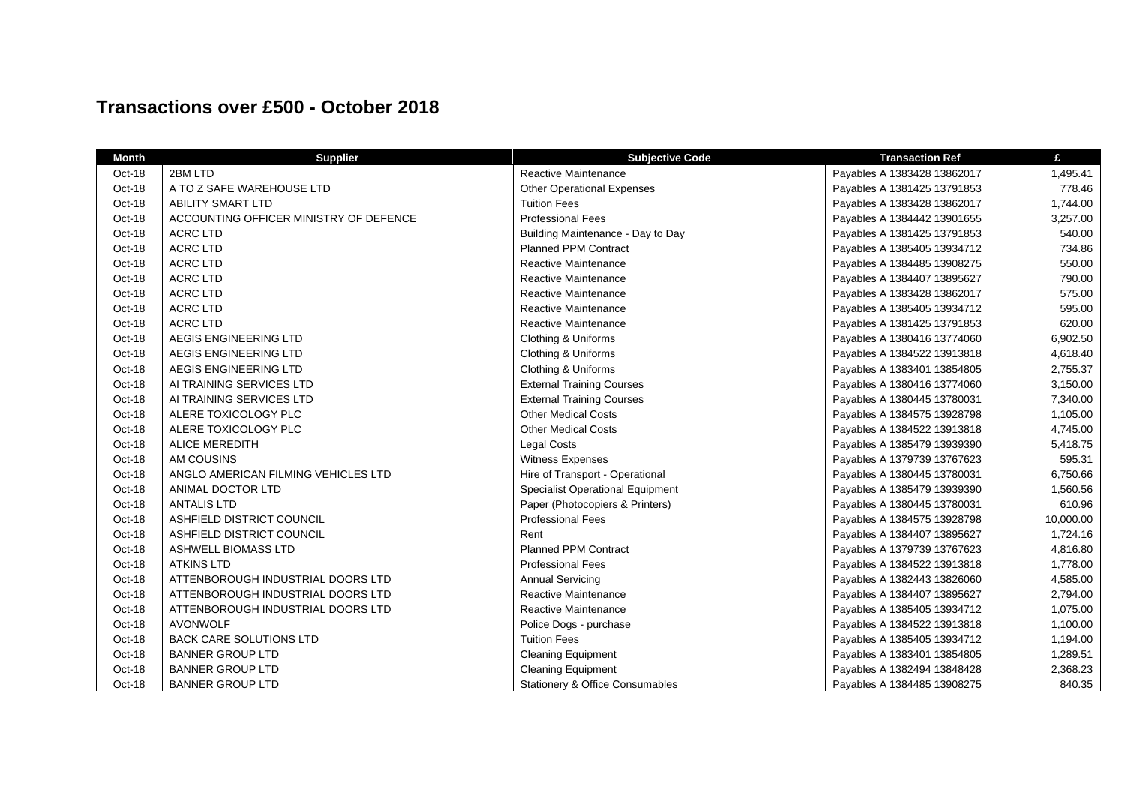## **Transactions over £500 - October 2018**

| <b>Month</b> | <b>Supplier</b>                        | <b>Subjective Code</b>                     | <b>Transaction Ref</b>      | £         |
|--------------|----------------------------------------|--------------------------------------------|-----------------------------|-----------|
| Oct-18       | 2BM LTD                                | <b>Reactive Maintenance</b>                | Payables A 1383428 13862017 | 1,495.41  |
| Oct-18       | A TO Z SAFE WAREHOUSE LTD              | <b>Other Operational Expenses</b>          | Payables A 1381425 13791853 | 778.46    |
| Oct-18       | <b>ABILITY SMART LTD</b>               | <b>Tuition Fees</b>                        | Payables A 1383428 13862017 | 1,744.00  |
| Oct-18       | ACCOUNTING OFFICER MINISTRY OF DEFENCE | <b>Professional Fees</b>                   | Payables A 1384442 13901655 | 3,257.00  |
| Oct-18       | <b>ACRC LTD</b>                        | Building Maintenance - Day to Day          | Payables A 1381425 13791853 | 540.00    |
| Oct-18       | <b>ACRC LTD</b>                        | <b>Planned PPM Contract</b>                | Payables A 1385405 13934712 | 734.86    |
| Oct-18       | <b>ACRC LTD</b>                        | <b>Reactive Maintenance</b>                | Payables A 1384485 13908275 | 550.00    |
| Oct-18       | <b>ACRC LTD</b>                        | <b>Reactive Maintenance</b>                | Payables A 1384407 13895627 | 790.00    |
| Oct-18       | <b>ACRC LTD</b>                        | Reactive Maintenance                       | Payables A 1383428 13862017 | 575.00    |
| Oct-18       | <b>ACRC LTD</b>                        | Reactive Maintenance                       | Payables A 1385405 13934712 | 595.00    |
| Oct-18       | <b>ACRC LTD</b>                        | <b>Reactive Maintenance</b>                | Payables A 1381425 13791853 | 620.00    |
| Oct-18       | AEGIS ENGINEERING LTD                  | Clothing & Uniforms                        | Payables A 1380416 13774060 | 6,902.50  |
| Oct-18       | AEGIS ENGINEERING LTD                  | Clothing & Uniforms                        | Payables A 1384522 13913818 | 4,618.40  |
| Oct-18       | AEGIS ENGINEERING LTD                  | Clothing & Uniforms                        | Payables A 1383401 13854805 | 2,755.37  |
| Oct-18       | AI TRAINING SERVICES LTD               | <b>External Training Courses</b>           | Payables A 1380416 13774060 | 3,150.00  |
| Oct-18       | AI TRAINING SERVICES LTD               | <b>External Training Courses</b>           | Payables A 1380445 13780031 | 7,340.00  |
| Oct-18       | ALERE TOXICOLOGY PLC                   | <b>Other Medical Costs</b>                 | Payables A 1384575 13928798 | 1,105.00  |
| Oct-18       | ALERE TOXICOLOGY PLC                   | <b>Other Medical Costs</b>                 | Payables A 1384522 13913818 | 4,745.00  |
| Oct-18       | <b>ALICE MEREDITH</b>                  | Legal Costs                                | Payables A 1385479 13939390 | 5,418.75  |
| Oct-18       | AM COUSINS                             | Witness Expenses                           | Payables A 1379739 13767623 | 595.31    |
| Oct-18       | ANGLO AMERICAN FILMING VEHICLES LTD    | Hire of Transport - Operational            | Payables A 1380445 13780031 | 6,750.66  |
| Oct-18       | ANIMAL DOCTOR LTD                      | <b>Specialist Operational Equipment</b>    | Payables A 1385479 13939390 | 1,560.56  |
| Oct-18       | <b>ANTALIS LTD</b>                     | Paper (Photocopiers & Printers)            | Payables A 1380445 13780031 | 610.96    |
| Oct-18       | ASHFIELD DISTRICT COUNCIL              | <b>Professional Fees</b>                   | Payables A 1384575 13928798 | 10,000.00 |
| Oct-18       | ASHFIELD DISTRICT COUNCIL              | Rent                                       | Payables A 1384407 13895627 | 1,724.16  |
| Oct-18       | ASHWELL BIOMASS LTD                    | <b>Planned PPM Contract</b>                | Payables A 1379739 13767623 | 4,816.80  |
| Oct-18       | <b>ATKINS LTD</b>                      | <b>Professional Fees</b>                   | Payables A 1384522 13913818 | 1,778.00  |
| Oct-18       | ATTENBOROUGH INDUSTRIAL DOORS LTD      | <b>Annual Servicing</b>                    | Payables A 1382443 13826060 | 4,585.00  |
| Oct-18       | ATTENBOROUGH INDUSTRIAL DOORS LTD      | <b>Reactive Maintenance</b>                | Payables A 1384407 13895627 | 2,794.00  |
| Oct-18       | ATTENBOROUGH INDUSTRIAL DOORS LTD      | Reactive Maintenance                       | Payables A 1385405 13934712 | 1,075.00  |
| Oct-18       | <b>AVONWOLF</b>                        | Police Dogs - purchase                     | Payables A 1384522 13913818 | 1,100.00  |
| Oct-18       | <b>BACK CARE SOLUTIONS LTD</b>         | <b>Tuition Fees</b>                        | Payables A 1385405 13934712 | 1,194.00  |
| Oct-18       | <b>BANNER GROUP LTD</b>                | <b>Cleaning Equipment</b>                  | Payables A 1383401 13854805 | 1,289.51  |
| Oct-18       | <b>BANNER GROUP LTD</b>                | <b>Cleaning Equipment</b>                  | Payables A 1382494 13848428 | 2,368.23  |
| Oct-18       | <b>BANNER GROUP LTD</b>                | <b>Stationery &amp; Office Consumables</b> | Payables A 1384485 13908275 | 840.35    |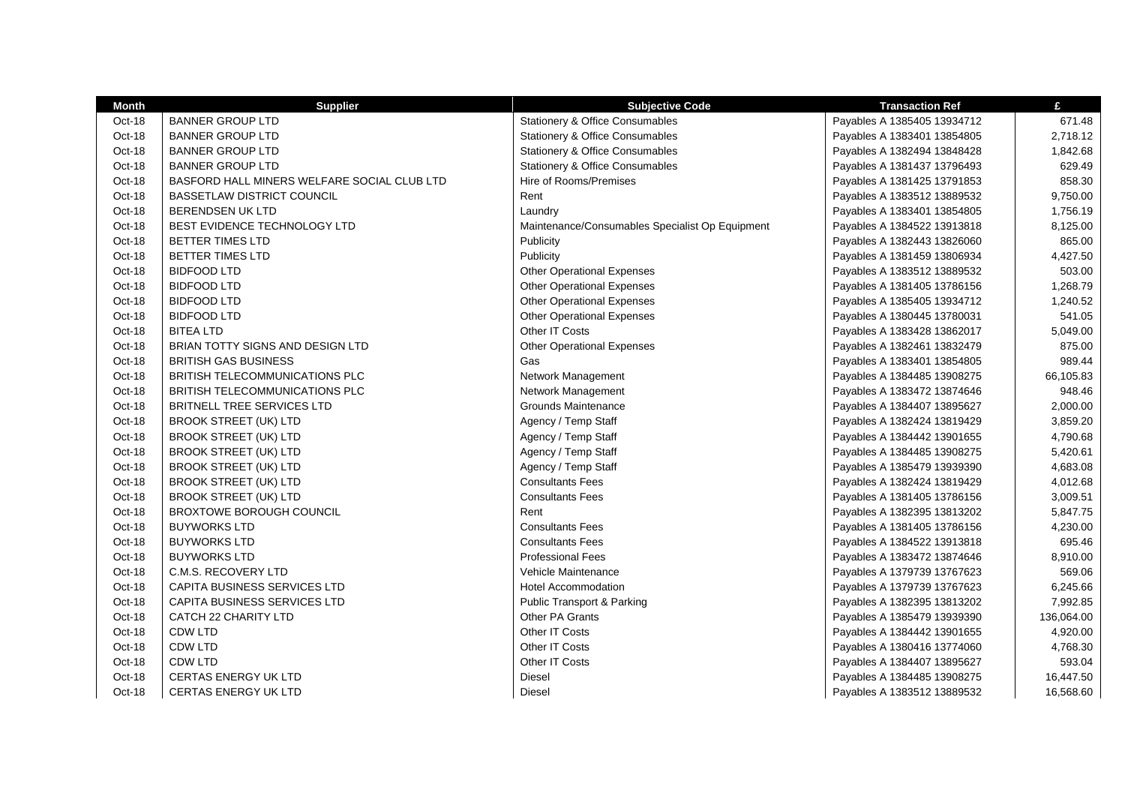| <b>Month</b> | <b>Supplier</b>                             | <b>Subjective Code</b>                          | <b>Transaction Ref</b>      | £          |
|--------------|---------------------------------------------|-------------------------------------------------|-----------------------------|------------|
| Oct-18       | <b>BANNER GROUP LTD</b>                     | Stationery & Office Consumables                 | Payables A 1385405 13934712 | 671.48     |
| Oct-18       | BANNER GROUP LTD                            | Stationery & Office Consumables                 | Payables A 1383401 13854805 | 2,718.12   |
| Oct-18       | <b>BANNER GROUP LTD</b>                     | Stationery & Office Consumables                 | Payables A 1382494 13848428 | 1,842.68   |
| Oct-18       | BANNER GROUP LTD                            | Stationery & Office Consumables                 | Payables A 1381437 13796493 | 629.49     |
| Oct-18       | BASFORD HALL MINERS WELFARE SOCIAL CLUB LTD | Hire of Rooms/Premises                          | Payables A 1381425 13791853 | 858.30     |
| Oct-18       | BASSETLAW DISTRICT COUNCIL                  | Rent                                            | Payables A 1383512 13889532 | 9,750.00   |
| Oct-18       | BERENDSEN UK LTD                            | Laundry                                         | Payables A 1383401 13854805 | 1,756.19   |
| Oct-18       | BEST EVIDENCE TECHNOLOGY LTD                | Maintenance/Consumables Specialist Op Equipment | Payables A 1384522 13913818 | 8,125.00   |
| Oct-18       | <b>BETTER TIMES LTD</b>                     | Publicity                                       | Payables A 1382443 13826060 | 865.00     |
| Oct-18       | <b>BETTER TIMES LTD</b>                     | Publicity                                       | Payables A 1381459 13806934 | 4,427.50   |
| Oct-18       | <b>BIDFOOD LTD</b>                          | <b>Other Operational Expenses</b>               | Payables A 1383512 13889532 | 503.00     |
| Oct-18       | <b>BIDFOOD LTD</b>                          | <b>Other Operational Expenses</b>               | Payables A 1381405 13786156 | 1,268.79   |
| Oct-18       | <b>BIDFOOD LTD</b>                          | <b>Other Operational Expenses</b>               | Payables A 1385405 13934712 | 1,240.52   |
| Oct-18       | <b>BIDFOOD LTD</b>                          | <b>Other Operational Expenses</b>               | Payables A 1380445 13780031 | 541.05     |
| Oct-18       | <b>BITEA LTD</b>                            | Other IT Costs                                  | Payables A 1383428 13862017 | 5,049.00   |
| Oct-18       | BRIAN TOTTY SIGNS AND DESIGN LTD            | <b>Other Operational Expenses</b>               | Payables A 1382461 13832479 | 875.00     |
| Oct-18       | BRITISH GAS BUSINESS                        | Gas                                             | Payables A 1383401 13854805 | 989.44     |
| Oct-18       | BRITISH TELECOMMUNICATIONS PLC              | Network Management                              | Payables A 1384485 13908275 | 66,105.83  |
| Oct-18       | BRITISH TELECOMMUNICATIONS PLC              | Network Management                              | Payables A 1383472 13874646 | 948.46     |
| Oct-18       | BRITNELL TREE SERVICES LTD                  | Grounds Maintenance                             | Payables A 1384407 13895627 | 2,000.00   |
| Oct-18       | <b>BROOK STREET (UK) LTD</b>                | Agency / Temp Staff                             | Payables A 1382424 13819429 | 3,859.20   |
| Oct-18       | <b>BROOK STREET (UK) LTD</b>                | Agency / Temp Staff                             | Payables A 1384442 13901655 | 4,790.68   |
| Oct-18       | <b>BROOK STREET (UK) LTD</b>                | Agency / Temp Staff                             | Payables A 1384485 13908275 | 5,420.61   |
| Oct-18       | <b>BROOK STREET (UK) LTD</b>                | Agency / Temp Staff                             | Payables A 1385479 13939390 | 4,683.08   |
| Oct-18       | <b>BROOK STREET (UK) LTD</b>                | <b>Consultants Fees</b>                         | Payables A 1382424 13819429 | 4,012.68   |
| Oct-18       | <b>BROOK STREET (UK) LTD</b>                | <b>Consultants Fees</b>                         | Payables A 1381405 13786156 | 3,009.51   |
| Oct-18       | <b>BROXTOWE BOROUGH COUNCIL</b>             | Rent                                            | Payables A 1382395 13813202 | 5,847.75   |
| Oct-18       | <b>BUYWORKS LTD</b>                         | <b>Consultants Fees</b>                         | Payables A 1381405 13786156 | 4,230.00   |
| Oct-18       | <b>BUYWORKS LTD</b>                         | <b>Consultants Fees</b>                         | Payables A 1384522 13913818 | 695.46     |
| Oct-18       | BUYWORKS LTD                                | <b>Professional Fees</b>                        | Payables A 1383472 13874646 | 8,910.00   |
| Oct-18       | C.M.S. RECOVERY LTD                         | Vehicle Maintenance                             | Payables A 1379739 13767623 | 569.06     |
| Oct-18       | CAPITA BUSINESS SERVICES LTD                | <b>Hotel Accommodation</b>                      | Payables A 1379739 13767623 | 6,245.66   |
| Oct-18       | <b>CAPITA BUSINESS SERVICES LTD</b>         | <b>Public Transport &amp; Parking</b>           | Payables A 1382395 13813202 | 7,992.85   |
| Oct-18       | CATCH 22 CHARITY LTD                        | Other PA Grants                                 | Payables A 1385479 13939390 | 136,064.00 |
| Oct-18       | <b>CDW LTD</b>                              | Other IT Costs                                  | Payables A 1384442 13901655 | 4,920.00   |
| Oct-18       | <b>CDW LTD</b>                              | Other IT Costs                                  | Payables A 1380416 13774060 | 4,768.30   |
| Oct-18       | <b>CDW LTD</b>                              | Other IT Costs                                  | Payables A 1384407 13895627 | 593.04     |
| Oct-18       | <b>CERTAS ENERGY UK LTD</b>                 | Diesel                                          | Payables A 1384485 13908275 | 16,447.50  |
| Oct-18       | <b>CERTAS ENERGY UK LTD</b>                 | <b>Diesel</b>                                   | Payables A 1383512 13889532 | 16,568.60  |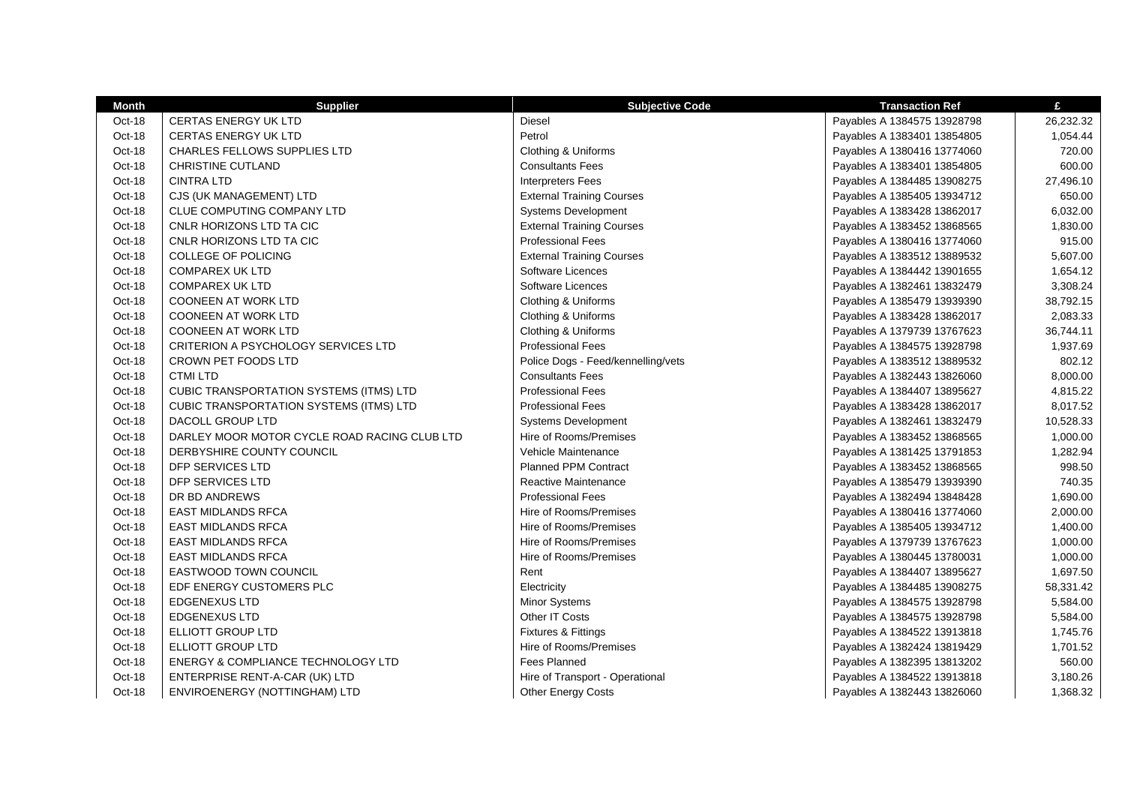| <b>Month</b> | <b>Supplier</b>                                | <b>Subjective Code</b>             | <b>Transaction Ref</b>      | £         |
|--------------|------------------------------------------------|------------------------------------|-----------------------------|-----------|
| Oct-18       | <b>CERTAS ENERGY UK LTD</b>                    | Diesel                             | Payables A 1384575 13928798 | 26,232.32 |
| Oct-18       | <b>CERTAS ENERGY UK LTD</b>                    | Petrol                             | Payables A 1383401 13854805 | 1,054.44  |
| Oct-18       | <b>CHARLES FELLOWS SUPPLIES LTD</b>            | Clothing & Uniforms                | Payables A 1380416 13774060 | 720.00    |
| Oct-18       | <b>CHRISTINE CUTLAND</b>                       | <b>Consultants Fees</b>            | Payables A 1383401 13854805 | 600.00    |
| Oct-18       | <b>CINTRA LTD</b>                              | <b>Interpreters Fees</b>           | Payables A 1384485 13908275 | 27,496.10 |
| Oct-18       | CJS (UK MANAGEMENT) LTD                        | <b>External Training Courses</b>   | Payables A 1385405 13934712 | 650.00    |
| Oct-18       | CLUE COMPUTING COMPANY LTD                     | <b>Systems Development</b>         | Payables A 1383428 13862017 | 6,032.00  |
| Oct-18       | CNLR HORIZONS LTD TA CIC                       | <b>External Training Courses</b>   | Payables A 1383452 13868565 | 1,830.00  |
| Oct-18       | CNLR HORIZONS LTD TA CIC                       | <b>Professional Fees</b>           | Payables A 1380416 13774060 | 915.00    |
| Oct-18       | <b>COLLEGE OF POLICING</b>                     | <b>External Training Courses</b>   | Payables A 1383512 13889532 | 5,607.00  |
| Oct-18       | <b>COMPAREX UK LTD</b>                         | Software Licences                  | Payables A 1384442 13901655 | 1,654.12  |
| Oct-18       | <b>COMPAREX UK LTD</b>                         | Software Licences                  | Payables A 1382461 13832479 | 3,308.24  |
| Oct-18       | <b>COONEEN AT WORK LTD</b>                     | Clothing & Uniforms                | Payables A 1385479 13939390 | 38,792.15 |
| Oct-18       | <b>COONEEN AT WORK LTD</b>                     | Clothing & Uniforms                | Payables A 1383428 13862017 | 2,083.33  |
| Oct-18       | <b>COONEEN AT WORK LTD</b>                     | Clothing & Uniforms                | Payables A 1379739 13767623 | 36,744.11 |
| Oct-18       | <b>CRITERION A PSYCHOLOGY SERVICES LTD</b>     | <b>Professional Fees</b>           | Payables A 1384575 13928798 | 1,937.69  |
| Oct-18       | CROWN PET FOODS LTD                            | Police Dogs - Feed/kennelling/vets | Payables A 1383512 13889532 | 802.12    |
| Oct-18       | <b>CTMI LTD</b>                                | <b>Consultants Fees</b>            | Payables A 1382443 13826060 | 8,000.00  |
| Oct-18       | <b>CUBIC TRANSPORTATION SYSTEMS (ITMS) LTD</b> | <b>Professional Fees</b>           | Payables A 1384407 13895627 | 4,815.22  |
| Oct-18       | <b>CUBIC TRANSPORTATION SYSTEMS (ITMS) LTD</b> | <b>Professional Fees</b>           | Payables A 1383428 13862017 | 8,017.52  |
| Oct-18       | DACOLL GROUP LTD                               | Systems Development                | Payables A 1382461 13832479 | 10,528.33 |
| Oct-18       | DARLEY MOOR MOTOR CYCLE ROAD RACING CLUB LTD   | Hire of Rooms/Premises             | Payables A 1383452 13868565 | 1,000.00  |
| Oct-18       | DERBYSHIRE COUNTY COUNCIL                      | Vehicle Maintenance                | Payables A 1381425 13791853 | 1,282.94  |
| Oct-18       | DFP SERVICES LTD                               | <b>Planned PPM Contract</b>        | Payables A 1383452 13868565 | 998.50    |
| Oct-18       | DFP SERVICES LTD                               | <b>Reactive Maintenance</b>        | Payables A 1385479 13939390 | 740.35    |
| Oct-18       | DR BD ANDREWS                                  | <b>Professional Fees</b>           | Payables A 1382494 13848428 | 1,690.00  |
| Oct-18       | <b>EAST MIDLANDS RFCA</b>                      | Hire of Rooms/Premises             | Payables A 1380416 13774060 | 2,000.00  |
| Oct-18       | <b>EAST MIDLANDS RFCA</b>                      | Hire of Rooms/Premises             | Payables A 1385405 13934712 | 1,400.00  |
| Oct-18       | <b>EAST MIDLANDS RFCA</b>                      | Hire of Rooms/Premises             | Payables A 1379739 13767623 | 1,000.00  |
| Oct-18       | <b>EAST MIDLANDS RFCA</b>                      | Hire of Rooms/Premises             | Payables A 1380445 13780031 | 1,000.00  |
| Oct-18       | <b>EASTWOOD TOWN COUNCIL</b>                   | Rent                               | Payables A 1384407 13895627 | 1,697.50  |
| Oct-18       | EDF ENERGY CUSTOMERS PLC                       | Electricity                        | Payables A 1384485 13908275 | 58,331.42 |
| Oct-18       | <b>EDGENEXUS LTD</b>                           | Minor Systems                      | Payables A 1384575 13928798 | 5,584.00  |
| Oct-18       | <b>EDGENEXUS LTD</b>                           | Other IT Costs                     | Payables A 1384575 13928798 | 5,584.00  |
| Oct-18       | ELLIOTT GROUP LTD                              | Fixtures & Fittings                | Payables A 1384522 13913818 | 1,745.76  |
| Oct-18       | ELLIOTT GROUP LTD                              | Hire of Rooms/Premises             | Payables A 1382424 13819429 | 1,701.52  |
| Oct-18       | ENERGY & COMPLIANCE TECHNOLOGY LTD             | <b>Fees Planned</b>                | Payables A 1382395 13813202 | 560.00    |
| Oct-18       | ENTERPRISE RENT-A-CAR (UK) LTD                 | Hire of Transport - Operational    | Payables A 1384522 13913818 | 3,180.26  |
| Oct-18       | ENVIROENERGY (NOTTINGHAM) LTD                  | <b>Other Energy Costs</b>          | Payables A 1382443 13826060 | 1,368.32  |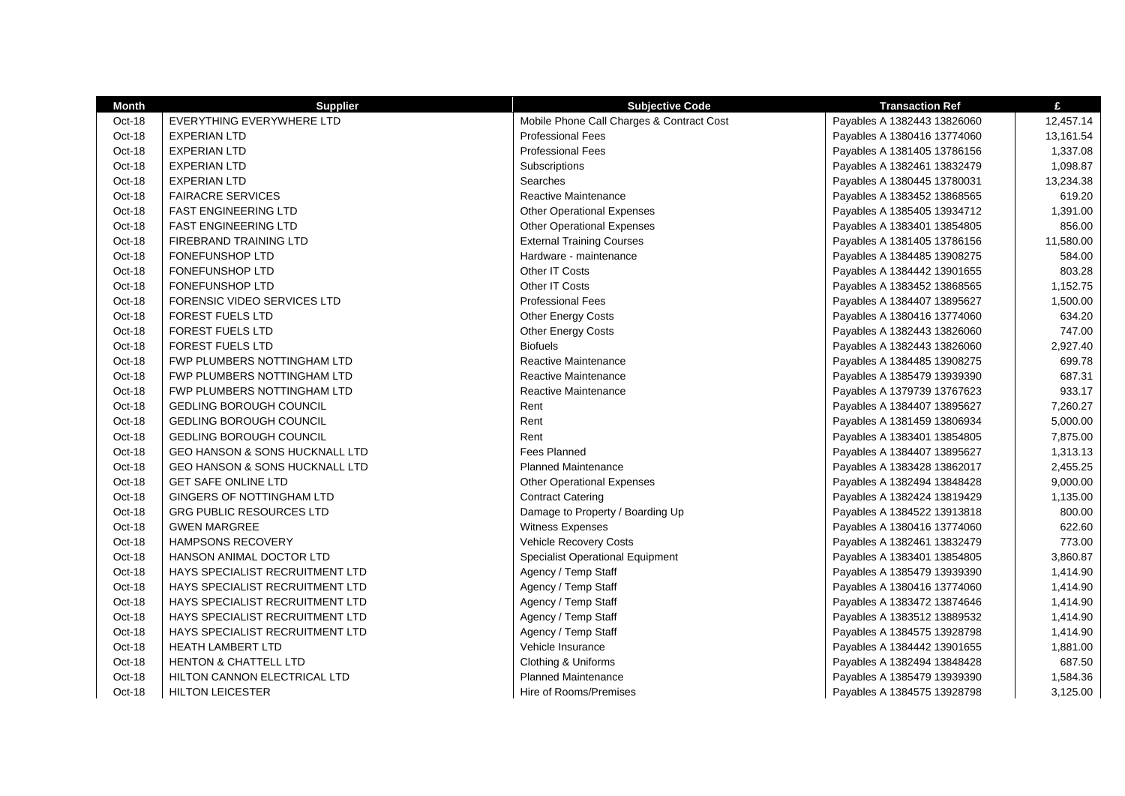| Month    | <b>Supplier</b>                           | <b>Subjective Code</b>                    | <b>Transaction Ref</b>      | £         |
|----------|-------------------------------------------|-------------------------------------------|-----------------------------|-----------|
| Oct-18   | EVERYTHING EVERYWHERE LTD                 | Mobile Phone Call Charges & Contract Cost | Payables A 1382443 13826060 | 12,457.14 |
| Oct-18   | <b>EXPERIAN LTD</b>                       | <b>Professional Fees</b>                  | Payables A 1380416 13774060 | 13,161.54 |
| Oct-18   | <b>EXPERIAN LTD</b>                       | <b>Professional Fees</b>                  | Payables A 1381405 13786156 | 1,337.08  |
| Oct-18   | <b>EXPERIAN LTD</b>                       | Subscriptions                             | Payables A 1382461 13832479 | 1,098.87  |
| Oct-18   | <b>EXPERIAN LTD</b>                       | Searches                                  | Payables A 1380445 13780031 | 13,234.38 |
| Oct-18   | <b>FAIRACRE SERVICES</b>                  | <b>Reactive Maintenance</b>               | Payables A 1383452 13868565 | 619.20    |
| Oct-18   | <b>FAST ENGINEERING LTD</b>               | <b>Other Operational Expenses</b>         | Payables A 1385405 13934712 | 1,391.00  |
| Oct-18   | <b>FAST ENGINEERING LTD</b>               | <b>Other Operational Expenses</b>         | Payables A 1383401 13854805 | 856.00    |
| Oct-18   | FIREBRAND TRAINING LTD                    | <b>External Training Courses</b>          | Payables A 1381405 13786156 | 11,580.00 |
| Oct-18   | <b>FONEFUNSHOP LTD</b>                    | Hardware - maintenance                    | Payables A 1384485 13908275 | 584.00    |
| Oct-18   | <b>FONEFUNSHOP LTD</b>                    | Other IT Costs                            | Payables A 1384442 13901655 | 803.28    |
| Oct-18   | <b>FONEFUNSHOP LTD</b>                    | Other IT Costs                            | Payables A 1383452 13868565 | 1,152.75  |
| Oct-18   | FORENSIC VIDEO SERVICES LTD               | <b>Professional Fees</b>                  | Payables A 1384407 13895627 | 1,500.00  |
| Oct-18   | FOREST FUELS LTD                          | Other Energy Costs                        | Payables A 1380416 13774060 | 634.20    |
| Oct-18   | <b>FOREST FUELS LTD</b>                   | Other Energy Costs                        | Payables A 1382443 13826060 | 747.00    |
| Oct-18   | <b>FOREST FUELS LTD</b>                   | <b>Biofuels</b>                           | Payables A 1382443 13826060 | 2,927.40  |
| Oct-18   | FWP PLUMBERS NOTTINGHAM LTD               | Reactive Maintenance                      | Payables A 1384485 13908275 | 699.78    |
| Oct-18   | FWP PLUMBERS NOTTINGHAM LTD               | Reactive Maintenance                      | Payables A 1385479 13939390 | 687.31    |
| Oct-18   | FWP PLUMBERS NOTTINGHAM LTD               | Reactive Maintenance                      | Payables A 1379739 13767623 | 933.17    |
| Oct-18   | <b>GEDLING BOROUGH COUNCIL</b>            | Rent                                      | Payables A 1384407 13895627 | 7,260.27  |
| Oct-18   | <b>GEDLING BOROUGH COUNCIL</b>            | Rent                                      | Payables A 1381459 13806934 | 5,000.00  |
| Oct-18   | <b>GEDLING BOROUGH COUNCIL</b>            | Rent                                      | Payables A 1383401 13854805 | 7,875.00  |
| Oct-18   | <b>GEO HANSON &amp; SONS HUCKNALL LTD</b> | <b>Fees Planned</b>                       | Payables A 1384407 13895627 | 1,313.13  |
| Oct-18   | <b>GEO HANSON &amp; SONS HUCKNALL LTD</b> | <b>Planned Maintenance</b>                | Payables A 1383428 13862017 | 2,455.25  |
| Oct-18   | <b>GET SAFE ONLINE LTD</b>                | <b>Other Operational Expenses</b>         | Payables A 1382494 13848428 | 9,000.00  |
| Oct-18   | GINGERS OF NOTTINGHAM LTD                 | <b>Contract Catering</b>                  | Payables A 1382424 13819429 | 1,135.00  |
| Oct-18   | <b>GRG PUBLIC RESOURCES LTD</b>           | Damage to Property / Boarding Up          | Payables A 1384522 13913818 | 800.00    |
| Oct-18   | <b>GWEN MARGREE</b>                       | Witness Expenses                          | Payables A 1380416 13774060 | 622.60    |
| Oct-18   | <b>HAMPSONS RECOVERY</b>                  | Vehicle Recovery Costs                    | Payables A 1382461 13832479 | 773.00    |
| Oct-18   | HANSON ANIMAL DOCTOR LTD                  | <b>Specialist Operational Equipment</b>   | Payables A 1383401 13854805 | 3,860.87  |
| Oct-18   | HAYS SPECIALIST RECRUITMENT LTD           | Agency / Temp Staff                       | Payables A 1385479 13939390 | 1,414.90  |
| Oct-18   | HAYS SPECIALIST RECRUITMENT LTD           | Agency / Temp Staff                       | Payables A 1380416 13774060 | 1,414.90  |
| Oct-18   | HAYS SPECIALIST RECRUITMENT LTD           | Agency / Temp Staff                       | Payables A 1383472 13874646 | 1,414.90  |
| Oct-18   | HAYS SPECIALIST RECRUITMENT LTD           | Agency / Temp Staff                       | Payables A 1383512 13889532 | 1,414.90  |
| Oct-18   | HAYS SPECIALIST RECRUITMENT LTD           | Agency / Temp Staff                       | Payables A 1384575 13928798 | 1,414.90  |
| Oct-18   | <b>HEATH LAMBERT LTD</b>                  | Vehicle Insurance                         | Payables A 1384442 13901655 | 1,881.00  |
| Oct-18   | <b>HENTON &amp; CHATTELL LTD</b>          | Clothing & Uniforms                       | Payables A 1382494 13848428 | 687.50    |
| Oct-18   | <b>HILTON CANNON ELECTRICAL LTD</b>       | <b>Planned Maintenance</b>                | Payables A 1385479 13939390 | 1,584.36  |
| $Oct-18$ | <b>HILTON LEICESTER</b>                   | Hire of Rooms/Premises                    | Payables A 1384575 13928798 | 3,125.00  |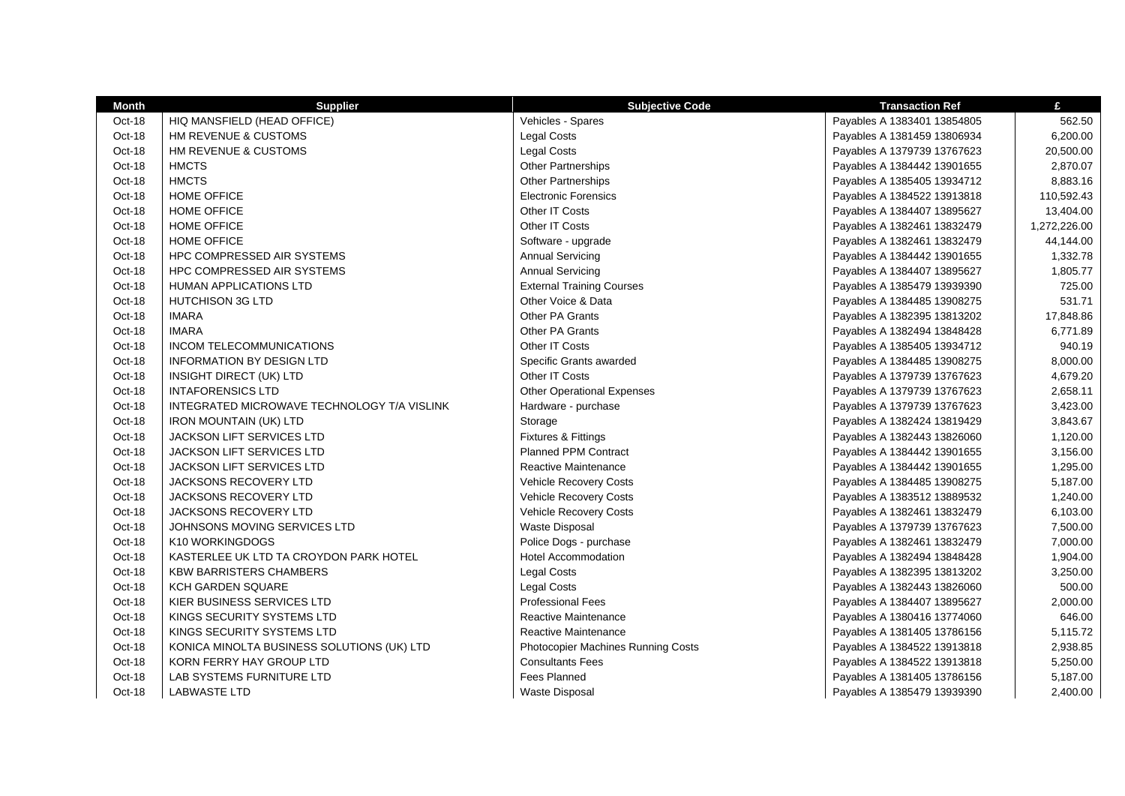| <b>Month</b> | <b>Supplier</b>                             | <b>Subjective Code</b>             | <b>Transaction Ref</b>      | £            |
|--------------|---------------------------------------------|------------------------------------|-----------------------------|--------------|
| Oct-18       | HIQ MANSFIELD (HEAD OFFICE)                 | Vehicles - Spares                  | Payables A 1383401 13854805 | 562.50       |
| Oct-18       | HM REVENUE & CUSTOMS                        | <b>Legal Costs</b>                 | Payables A 1381459 13806934 | 6,200.00     |
| Oct-18       | HM REVENUE & CUSTOMS                        | <b>Legal Costs</b>                 | Payables A 1379739 13767623 | 20,500.00    |
| Oct-18       | <b>HMCTS</b>                                | <b>Other Partnerships</b>          | Payables A 1384442 13901655 | 2,870.07     |
| Oct-18       | <b>HMCTS</b>                                | <b>Other Partnerships</b>          | Payables A 1385405 13934712 | 8,883.16     |
| Oct-18       | HOME OFFICE                                 | <b>Electronic Forensics</b>        | Payables A 1384522 13913818 | 110,592.43   |
| Oct-18       | <b>HOME OFFICE</b>                          | Other IT Costs                     | Payables A 1384407 13895627 | 13,404.00    |
| Oct-18       | HOME OFFICE                                 | Other IT Costs                     | Payables A 1382461 13832479 | 1,272,226.00 |
| Oct-18       | <b>HOME OFFICE</b>                          | Software - upgrade                 | Payables A 1382461 13832479 | 44,144.00    |
| Oct-18       | HPC COMPRESSED AIR SYSTEMS                  | <b>Annual Servicing</b>            | Payables A 1384442 13901655 | 1,332.78     |
| Oct-18       | <b>HPC COMPRESSED AIR SYSTEMS</b>           | <b>Annual Servicing</b>            | Payables A 1384407 13895627 | 1,805.77     |
| Oct-18       | <b>HUMAN APPLICATIONS LTD</b>               | <b>External Training Courses</b>   | Payables A 1385479 13939390 | 725.00       |
| Oct-18       | <b>HUTCHISON 3G LTD</b>                     | Other Voice & Data                 | Payables A 1384485 13908275 | 531.71       |
| Oct-18       | <b>IMARA</b>                                | Other PA Grants                    | Payables A 1382395 13813202 | 17,848.86    |
| Oct-18       | <b>IMARA</b>                                | Other PA Grants                    | Payables A 1382494 13848428 | 6,771.89     |
| Oct-18       | <b>INCOM TELECOMMUNICATIONS</b>             | Other IT Costs                     | Payables A 1385405 13934712 | 940.19       |
| Oct-18       | <b>INFORMATION BY DESIGN LTD</b>            | Specific Grants awarded            | Payables A 1384485 13908275 | 8,000.00     |
| Oct-18       | INSIGHT DIRECT (UK) LTD                     | Other IT Costs                     | Payables A 1379739 13767623 | 4,679.20     |
| Oct-18       | <b>INTAFORENSICS LTD</b>                    | <b>Other Operational Expenses</b>  | Payables A 1379739 13767623 | 2,658.11     |
| Oct-18       | INTEGRATED MICROWAVE TECHNOLOGY T/A VISLINK | Hardware - purchase                | Payables A 1379739 13767623 | 3,423.00     |
| Oct-18       | <b>IRON MOUNTAIN (UK) LTD</b>               | Storage                            | Payables A 1382424 13819429 | 3,843.67     |
| Oct-18       | <b>JACKSON LIFT SERVICES LTD</b>            | Fixtures & Fittings                | Payables A 1382443 13826060 | 1,120.00     |
| Oct-18       | <b>JACKSON LIFT SERVICES LTD</b>            | <b>Planned PPM Contract</b>        | Payables A 1384442 13901655 | 3,156.00     |
| Oct-18       | JACKSON LIFT SERVICES LTD                   | Reactive Maintenance               | Payables A 1384442 13901655 | 1,295.00     |
| Oct-18       | JACKSONS RECOVERY LTD                       | Vehicle Recovery Costs             | Payables A 1384485 13908275 | 5,187.00     |
| Oct-18       | <b>JACKSONS RECOVERY LTD</b>                | Vehicle Recovery Costs             | Payables A 1383512 13889532 | 1,240.00     |
| Oct-18       | <b>JACKSONS RECOVERY LTD</b>                | Vehicle Recovery Costs             | Payables A 1382461 13832479 | 6,103.00     |
| Oct-18       | JOHNSONS MOVING SERVICES LTD                | <b>Waste Disposal</b>              | Payables A 1379739 13767623 | 7,500.00     |
| Oct-18       | K10 WORKINGDOGS                             | Police Dogs - purchase             | Payables A 1382461 13832479 | 7,000.00     |
| Oct-18       | KASTERLEE UK LTD TA CROYDON PARK HOTEL      | <b>Hotel Accommodation</b>         | Payables A 1382494 13848428 | 1,904.00     |
| Oct-18       | <b>KBW BARRISTERS CHAMBERS</b>              | Legal Costs                        | Payables A 1382395 13813202 | 3,250.00     |
| Oct-18       | <b>KCH GARDEN SQUARE</b>                    | <b>Legal Costs</b>                 | Payables A 1382443 13826060 | 500.00       |
| Oct-18       | KIER BUSINESS SERVICES LTD                  | <b>Professional Fees</b>           | Payables A 1384407 13895627 | 2,000.00     |
| Oct-18       | KINGS SECURITY SYSTEMS LTD                  | Reactive Maintenance               | Payables A 1380416 13774060 | 646.00       |
| Oct-18       | KINGS SECURITY SYSTEMS LTD                  | Reactive Maintenance               | Payables A 1381405 13786156 | 5,115.72     |
| Oct-18       | KONICA MINOLTA BUSINESS SOLUTIONS (UK) LTD  | Photocopier Machines Running Costs | Payables A 1384522 13913818 | 2,938.85     |
| Oct-18       | KORN FERRY HAY GROUP LTD                    | <b>Consultants Fees</b>            | Payables A 1384522 13913818 | 5,250.00     |
| Oct-18       | LAB SYSTEMS FURNITURE LTD                   | <b>Fees Planned</b>                | Payables A 1381405 13786156 | 5,187.00     |
| Oct-18       | <b>LABWASTE LTD</b>                         | Waste Disposal                     | Payables A 1385479 13939390 | 2,400.00     |
|              |                                             |                                    |                             |              |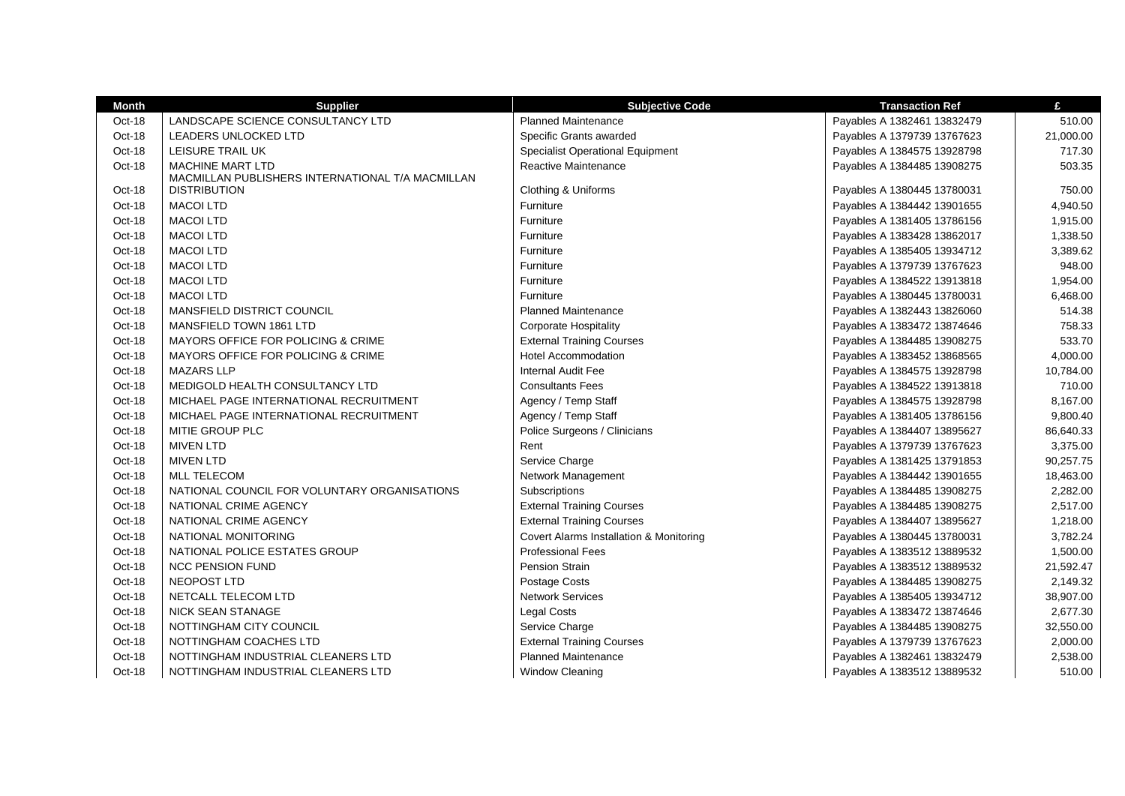| <b>Month</b> | <b>Supplier</b>                                  | <b>Subjective Code</b>                  | <b>Transaction Ref</b>      | £         |
|--------------|--------------------------------------------------|-----------------------------------------|-----------------------------|-----------|
| Oct-18       | LANDSCAPE SCIENCE CONSULTANCY LTD                | <b>Planned Maintenance</b>              | Payables A 1382461 13832479 | 510.00    |
| Oct-18       | LEADERS UNLOCKED LTD                             | Specific Grants awarded                 | Payables A 1379739 13767623 | 21,000.00 |
| Oct-18       | LEISURE TRAIL UK                                 | <b>Specialist Operational Equipment</b> | Payables A 1384575 13928798 | 717.30    |
| Oct-18       | MACHINE MART LTD                                 | <b>Reactive Maintenance</b>             | Payables A 1384485 13908275 | 503.35    |
|              | MACMILLAN PUBLISHERS INTERNATIONAL T/A MACMILLAN |                                         |                             |           |
| Oct-18       | <b>DISTRIBUTION</b>                              | Clothing & Uniforms                     | Payables A 1380445 13780031 | 750.00    |
| Oct-18       | <b>MACOI LTD</b>                                 | Furniture                               | Payables A 1384442 13901655 | 4,940.50  |
| Oct-18       | <b>MACOI LTD</b>                                 | Furniture                               | Payables A 1381405 13786156 | 1,915.00  |
| Oct-18       | <b>MACOI LTD</b>                                 | Furniture                               | Payables A 1383428 13862017 | 1,338.50  |
| Oct-18       | <b>MACOI LTD</b>                                 | Furniture                               | Payables A 1385405 13934712 | 3,389.62  |
| Oct-18       | <b>MACOI LTD</b>                                 | Furniture                               | Payables A 1379739 13767623 | 948.00    |
| Oct-18       | <b>MACOI LTD</b>                                 | Furniture                               | Payables A 1384522 13913818 | 1,954.00  |
| Oct-18       | <b>MACOI LTD</b>                                 | Furniture                               | Payables A 1380445 13780031 | 6,468.00  |
| Oct-18       | MANSFIELD DISTRICT COUNCIL                       | <b>Planned Maintenance</b>              | Payables A 1382443 13826060 | 514.38    |
| Oct-18       | MANSFIELD TOWN 1861 LTD                          | <b>Corporate Hospitality</b>            | Payables A 1383472 13874646 | 758.33    |
| Oct-18       | <b>MAYORS OFFICE FOR POLICING &amp; CRIME</b>    | <b>External Training Courses</b>        | Payables A 1384485 13908275 | 533.70    |
| Oct-18       | MAYORS OFFICE FOR POLICING & CRIME               | <b>Hotel Accommodation</b>              | Payables A 1383452 13868565 | 4,000.00  |
| Oct-18       | <b>MAZARS LLP</b>                                | <b>Internal Audit Fee</b>               | Payables A 1384575 13928798 | 10,784.00 |
| Oct-18       | MEDIGOLD HEALTH CONSULTANCY LTD                  | <b>Consultants Fees</b>                 | Payables A 1384522 13913818 | 710.00    |
| Oct-18       | MICHAEL PAGE INTERNATIONAL RECRUITMENT           | Agency / Temp Staff                     | Payables A 1384575 13928798 | 8,167.00  |
| Oct-18       | MICHAEL PAGE INTERNATIONAL RECRUITMENT           | Agency / Temp Staff                     | Payables A 1381405 13786156 | 9,800.40  |
| Oct-18       | MITIE GROUP PLC                                  | Police Surgeons / Clinicians            | Payables A 1384407 13895627 | 86,640.33 |
| Oct-18       | <b>MIVEN LTD</b>                                 | Rent                                    | Payables A 1379739 13767623 | 3,375.00  |
| Oct-18       | <b>MIVEN LTD</b>                                 | Service Charge                          | Payables A 1381425 13791853 | 90,257.75 |
| Oct-18       | <b>MLL TELECOM</b>                               | Network Management                      | Payables A 1384442 13901655 | 18,463.00 |
| Oct-18       | NATIONAL COUNCIL FOR VOLUNTARY ORGANISATIONS     | Subscriptions                           | Payables A 1384485 13908275 | 2,282.00  |
| Oct-18       | NATIONAL CRIME AGENCY                            | <b>External Training Courses</b>        | Payables A 1384485 13908275 | 2,517.00  |
| Oct-18       | NATIONAL CRIME AGENCY                            | <b>External Training Courses</b>        | Payables A 1384407 13895627 | 1,218.00  |
| Oct-18       | NATIONAL MONITORING                              | Covert Alarms Installation & Monitoring | Payables A 1380445 13780031 | 3,782.24  |
| Oct-18       | NATIONAL POLICE ESTATES GROUP                    | <b>Professional Fees</b>                | Payables A 1383512 13889532 | 1,500.00  |
| Oct-18       | <b>NCC PENSION FUND</b>                          | <b>Pension Strain</b>                   | Payables A 1383512 13889532 | 21,592.47 |
| Oct-18       | NEOPOST LTD                                      | Postage Costs                           | Payables A 1384485 13908275 | 2,149.32  |
| Oct-18       | NETCALL TELECOM LTD                              | <b>Network Services</b>                 | Payables A 1385405 13934712 | 38,907.00 |
| Oct-18       | <b>NICK SEAN STANAGE</b>                         | <b>Legal Costs</b>                      | Payables A 1383472 13874646 | 2,677.30  |
| Oct-18       | NOTTINGHAM CITY COUNCIL                          | Service Charge                          | Payables A 1384485 13908275 | 32,550.00 |
| Oct-18       | NOTTINGHAM COACHES LTD                           | <b>External Training Courses</b>        | Payables A 1379739 13767623 | 2,000.00  |
| Oct-18       | NOTTINGHAM INDUSTRIAL CLEANERS LTD               | <b>Planned Maintenance</b>              | Payables A 1382461 13832479 | 2,538.00  |
| Oct-18       | NOTTINGHAM INDUSTRIAL CLEANERS LTD               | <b>Window Cleaning</b>                  | Payables A 1383512 13889532 | 510.00    |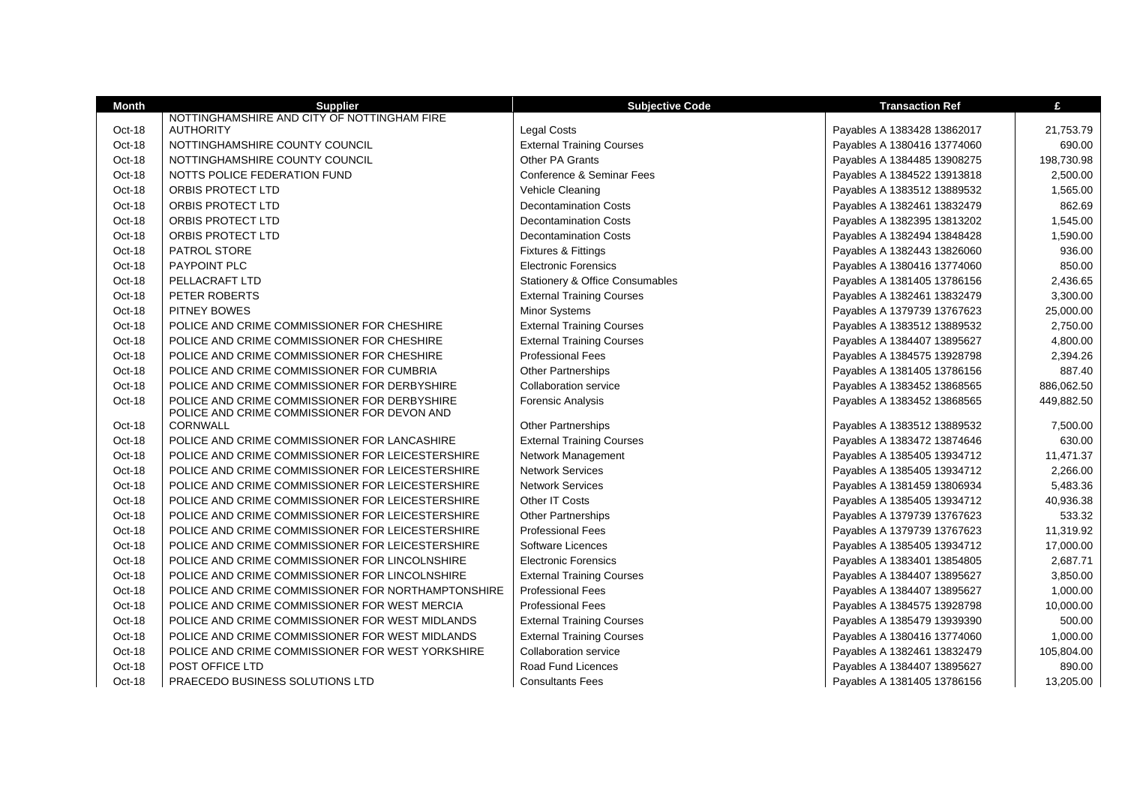| <b>Month</b> | <b>Supplier</b>                                                                             | <b>Subjective Code</b>                     | <b>Transaction Ref</b>      | £          |
|--------------|---------------------------------------------------------------------------------------------|--------------------------------------------|-----------------------------|------------|
|              | NOTTINGHAMSHIRE AND CITY OF NOTTINGHAM FIRE                                                 |                                            |                             |            |
| Oct-18       | <b>AUTHORITY</b>                                                                            | <b>Legal Costs</b>                         | Payables A 1383428 13862017 | 21,753.79  |
| Oct-18       | NOTTINGHAMSHIRE COUNTY COUNCIL                                                              | <b>External Training Courses</b>           | Payables A 1380416 13774060 | 690.00     |
| Oct-18       | NOTTINGHAMSHIRE COUNTY COUNCIL                                                              | Other PA Grants                            | Payables A 1384485 13908275 | 198,730.98 |
| Oct-18       | NOTTS POLICE FEDERATION FUND                                                                | Conference & Seminar Fees                  | Payables A 1384522 13913818 | 2,500.00   |
| Oct-18       | ORBIS PROTECT LTD                                                                           | Vehicle Cleaning                           | Payables A 1383512 13889532 | 1,565.00   |
| Oct-18       | ORBIS PROTECT LTD                                                                           | <b>Decontamination Costs</b>               | Payables A 1382461 13832479 | 862.69     |
| Oct-18       | ORBIS PROTECT LTD                                                                           | <b>Decontamination Costs</b>               | Payables A 1382395 13813202 | 1,545.00   |
| Oct-18       | ORBIS PROTECT LTD                                                                           | <b>Decontamination Costs</b>               | Payables A 1382494 13848428 | 1,590.00   |
| Oct-18       | <b>PATROL STORE</b>                                                                         | Fixtures & Fittings                        | Payables A 1382443 13826060 | 936.00     |
| Oct-18       | <b>PAYPOINT PLC</b>                                                                         | <b>Electronic Forensics</b>                | Payables A 1380416 13774060 | 850.00     |
| Oct-18       | PELLACRAFT LTD                                                                              | <b>Stationery &amp; Office Consumables</b> | Payables A 1381405 13786156 | 2,436.65   |
| Oct-18       | PETER ROBERTS                                                                               | <b>External Training Courses</b>           | Payables A 1382461 13832479 | 3,300.00   |
| Oct-18       | PITNEY BOWES                                                                                | Minor Systems                              | Payables A 1379739 13767623 | 25,000.00  |
| Oct-18       | POLICE AND CRIME COMMISSIONER FOR CHESHIRE                                                  | <b>External Training Courses</b>           | Payables A 1383512 13889532 | 2.750.00   |
| Oct-18       | POLICE AND CRIME COMMISSIONER FOR CHESHIRE                                                  | <b>External Training Courses</b>           | Payables A 1384407 13895627 | 4,800.00   |
| Oct-18       | POLICE AND CRIME COMMISSIONER FOR CHESHIRE                                                  | <b>Professional Fees</b>                   | Payables A 1384575 13928798 | 2,394.26   |
| Oct-18       | POLICE AND CRIME COMMISSIONER FOR CUMBRIA                                                   | <b>Other Partnerships</b>                  | Payables A 1381405 13786156 | 887.40     |
| Oct-18       | POLICE AND CRIME COMMISSIONER FOR DERBYSHIRE                                                | <b>Collaboration service</b>               | Payables A 1383452 13868565 | 886,062.50 |
| Oct-18       | POLICE AND CRIME COMMISSIONER FOR DERBYSHIRE<br>POLICE AND CRIME COMMISSIONER FOR DEVON AND | <b>Forensic Analysis</b>                   | Payables A 1383452 13868565 | 449,882.50 |
| Oct-18       | <b>CORNWALL</b>                                                                             | <b>Other Partnerships</b>                  | Payables A 1383512 13889532 | 7,500.00   |
| Oct-18       | POLICE AND CRIME COMMISSIONER FOR LANCASHIRE                                                | <b>External Training Courses</b>           | Payables A 1383472 13874646 | 630.00     |
| Oct-18       | POLICE AND CRIME COMMISSIONER FOR LEICESTERSHIRE                                            | Network Management                         | Payables A 1385405 13934712 | 11,471.37  |
| Oct-18       | POLICE AND CRIME COMMISSIONER FOR LEICESTERSHIRE                                            | <b>Network Services</b>                    | Payables A 1385405 13934712 | 2,266.00   |
| Oct-18       | POLICE AND CRIME COMMISSIONER FOR LEICESTERSHIRE                                            | <b>Network Services</b>                    | Payables A 1381459 13806934 | 5,483.36   |
| Oct-18       | POLICE AND CRIME COMMISSIONER FOR LEICESTERSHIRE                                            | Other IT Costs                             | Payables A 1385405 13934712 | 40,936.38  |
| Oct-18       | POLICE AND CRIME COMMISSIONER FOR LEICESTERSHIRE                                            | <b>Other Partnerships</b>                  | Payables A 1379739 13767623 | 533.32     |
| Oct-18       | POLICE AND CRIME COMMISSIONER FOR LEICESTERSHIRE                                            | <b>Professional Fees</b>                   | Payables A 1379739 13767623 | 11,319.92  |
| Oct-18       | POLICE AND CRIME COMMISSIONER FOR LEICESTERSHIRE                                            | <b>Software Licences</b>                   | Payables A 1385405 13934712 | 17,000.00  |
| Oct-18       | POLICE AND CRIME COMMISSIONER FOR LINCOLNSHIRE                                              | <b>Electronic Forensics</b>                | Payables A 1383401 13854805 | 2.687.71   |
| Oct-18       | POLICE AND CRIME COMMISSIONER FOR LINCOLNSHIRE                                              | <b>External Training Courses</b>           | Payables A 1384407 13895627 | 3,850.00   |
| Oct-18       | POLICE AND CRIME COMMISSIONER FOR NORTHAMPTONSHIRE                                          | <b>Professional Fees</b>                   | Payables A 1384407 13895627 | 1,000.00   |
| Oct-18       | POLICE AND CRIME COMMISSIONER FOR WEST MERCIA                                               | <b>Professional Fees</b>                   | Payables A 1384575 13928798 | 10,000.00  |
| Oct-18       | POLICE AND CRIME COMMISSIONER FOR WEST MIDLANDS                                             | <b>External Training Courses</b>           | Payables A 1385479 13939390 | 500.00     |
| Oct-18       | POLICE AND CRIME COMMISSIONER FOR WEST MIDLANDS                                             | <b>External Training Courses</b>           | Payables A 1380416 13774060 | 1,000.00   |
| Oct-18       | POLICE AND CRIME COMMISSIONER FOR WEST YORKSHIRE                                            | Collaboration service                      | Payables A 1382461 13832479 | 105,804.00 |
| Oct-18       | POST OFFICE LTD                                                                             | Road Fund Licences                         | Payables A 1384407 13895627 | 890.00     |
| Oct-18       | PRAECEDO BUSINESS SOLUTIONS LTD                                                             | <b>Consultants Fees</b>                    | Payables A 1381405 13786156 | 13,205.00  |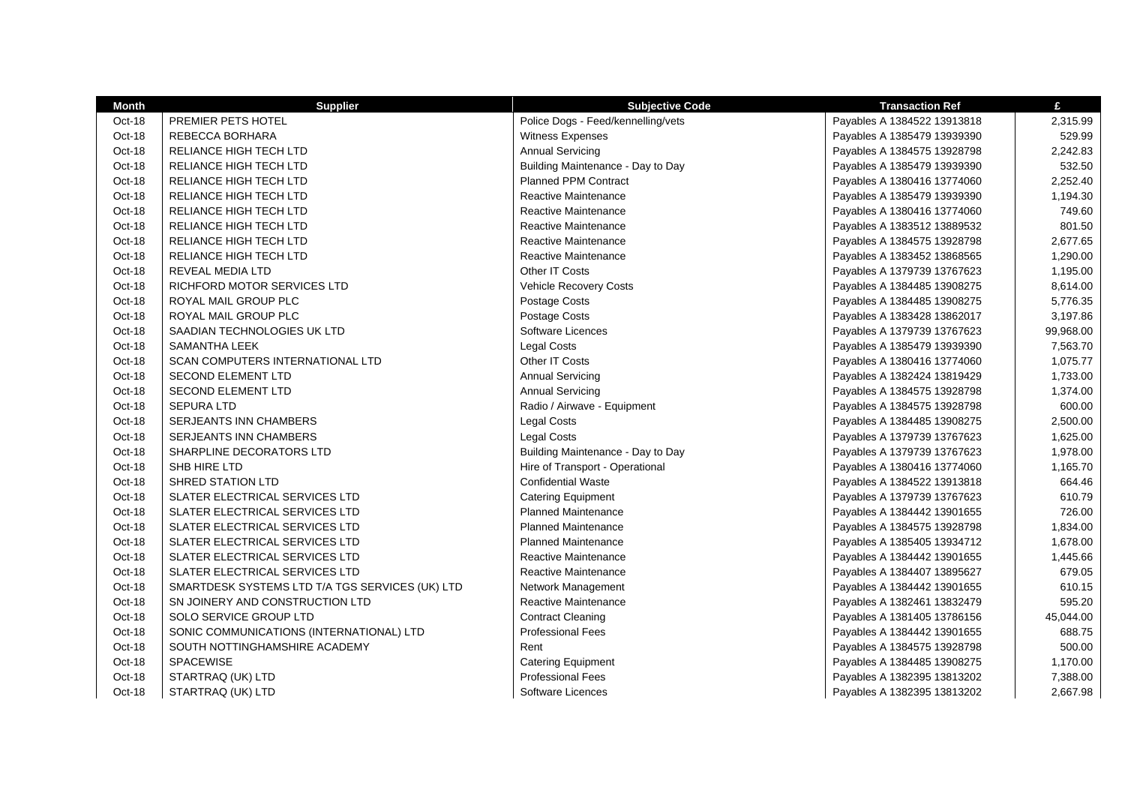| Month  | <b>Supplier</b>                                 | <b>Subjective Code</b>             | <b>Transaction Ref</b>      | £         |
|--------|-------------------------------------------------|------------------------------------|-----------------------------|-----------|
| Oct-18 | PREMIER PETS HOTEL                              | Police Dogs - Feed/kennelling/vets | Payables A 1384522 13913818 | 2,315.99  |
| Oct-18 | REBECCA BORHARA                                 | <b>Witness Expenses</b>            | Payables A 1385479 13939390 | 529.99    |
| Oct-18 | RELIANCE HIGH TECH LTD                          | <b>Annual Servicing</b>            | Payables A 1384575 13928798 | 2,242.83  |
| Oct-18 | RELIANCE HIGH TECH LTD                          | Building Maintenance - Day to Day  | Payables A 1385479 13939390 | 532.50    |
| Oct-18 | RELIANCE HIGH TECH LTD                          | <b>Planned PPM Contract</b>        | Payables A 1380416 13774060 | 2,252.40  |
| Oct-18 | RELIANCE HIGH TECH LTD                          | <b>Reactive Maintenance</b>        | Payables A 1385479 13939390 | 1,194.30  |
| Oct-18 | RELIANCE HIGH TECH LTD                          | Reactive Maintenance               | Payables A 1380416 13774060 | 749.60    |
| Oct-18 | RELIANCE HIGH TECH LTD                          | <b>Reactive Maintenance</b>        | Payables A 1383512 13889532 | 801.50    |
| Oct-18 | RELIANCE HIGH TECH LTD                          | Reactive Maintenance               | Payables A 1384575 13928798 | 2,677.65  |
| Oct-18 | RELIANCE HIGH TECH LTD                          | Reactive Maintenance               | Payables A 1383452 13868565 | 1,290.00  |
| Oct-18 | REVEAL MEDIA LTD                                | Other IT Costs                     | Payables A 1379739 13767623 | 1,195.00  |
| Oct-18 | RICHFORD MOTOR SERVICES LTD                     | Vehicle Recovery Costs             | Payables A 1384485 13908275 | 8,614.00  |
| Oct-18 | ROYAL MAIL GROUP PLC                            | Postage Costs                      | Payables A 1384485 13908275 | 5,776.35  |
| Oct-18 | ROYAL MAIL GROUP PLC                            | Postage Costs                      | Payables A 1383428 13862017 | 3,197.86  |
| Oct-18 | SAADIAN TECHNOLOGIES UK LTD                     | Software Licences                  | Payables A 1379739 13767623 | 99,968.00 |
| Oct-18 | SAMANTHA LEEK                                   | <b>Legal Costs</b>                 | Payables A 1385479 13939390 | 7,563.70  |
| Oct-18 | <b>SCAN COMPUTERS INTERNATIONAL LTD</b>         | Other IT Costs                     | Payables A 1380416 13774060 | 1,075.77  |
| Oct-18 | <b>SECOND ELEMENT LTD</b>                       | <b>Annual Servicing</b>            | Payables A 1382424 13819429 | 1,733.00  |
| Oct-18 | SECOND ELEMENT LTD                              | <b>Annual Servicing</b>            | Payables A 1384575 13928798 | 1,374.00  |
| Oct-18 | <b>SEPURA LTD</b>                               | Radio / Airwave - Equipment        | Payables A 1384575 13928798 | 600.00    |
| Oct-18 | SERJEANTS INN CHAMBERS                          | Legal Costs                        | Payables A 1384485 13908275 | 2,500.00  |
| Oct-18 | <b>SERJEANTS INN CHAMBERS</b>                   | <b>Legal Costs</b>                 | Payables A 1379739 13767623 | 1,625.00  |
| Oct-18 | SHARPLINE DECORATORS LTD                        | Building Maintenance - Day to Day  | Payables A 1379739 13767623 | 1,978.00  |
| Oct-18 | SHB HIRE LTD                                    | Hire of Transport - Operational    | Payables A 1380416 13774060 | 1,165.70  |
| Oct-18 | SHRED STATION LTD                               | <b>Confidential Waste</b>          | Payables A 1384522 13913818 | 664.46    |
| Oct-18 | SLATER ELECTRICAL SERVICES LTD                  | <b>Catering Equipment</b>          | Payables A 1379739 13767623 | 610.79    |
| Oct-18 | SLATER ELECTRICAL SERVICES LTD                  | <b>Planned Maintenance</b>         | Payables A 1384442 13901655 | 726.00    |
| Oct-18 | SLATER ELECTRICAL SERVICES LTD                  | <b>Planned Maintenance</b>         | Payables A 1384575 13928798 | 1,834.00  |
| Oct-18 | SLATER ELECTRICAL SERVICES LTD                  | <b>Planned Maintenance</b>         | Payables A 1385405 13934712 | 1,678.00  |
| Oct-18 | SLATER ELECTRICAL SERVICES LTD                  | Reactive Maintenance               | Payables A 1384442 13901655 | 1,445.66  |
| Oct-18 | SLATER ELECTRICAL SERVICES LTD                  | Reactive Maintenance               | Payables A 1384407 13895627 | 679.05    |
| Oct-18 | SMARTDESK SYSTEMS LTD T/A TGS SERVICES (UK) LTD | Network Management                 | Payables A 1384442 13901655 | 610.15    |
| Oct-18 | SN JOINERY AND CONSTRUCTION LTD                 | Reactive Maintenance               | Payables A 1382461 13832479 | 595.20    |
| Oct-18 | SOLO SERVICE GROUP LTD                          | <b>Contract Cleaning</b>           | Payables A 1381405 13786156 | 45,044.00 |
| Oct-18 | SONIC COMMUNICATIONS (INTERNATIONAL) LTD        | <b>Professional Fees</b>           | Payables A 1384442 13901655 | 688.75    |
| Oct-18 | SOUTH NOTTINGHAMSHIRE ACADEMY                   | Rent                               | Payables A 1384575 13928798 | 500.00    |
| Oct-18 | SPACEWISE                                       | <b>Catering Equipment</b>          | Payables A 1384485 13908275 | 1,170.00  |
| Oct-18 | STARTRAQ (UK) LTD                               | <b>Professional Fees</b>           | Payables A 1382395 13813202 | 7,388.00  |
| Oct-18 | STARTRAQ (UK) LTD                               | Software Licences                  | Payables A 1382395 13813202 | 2,667.98  |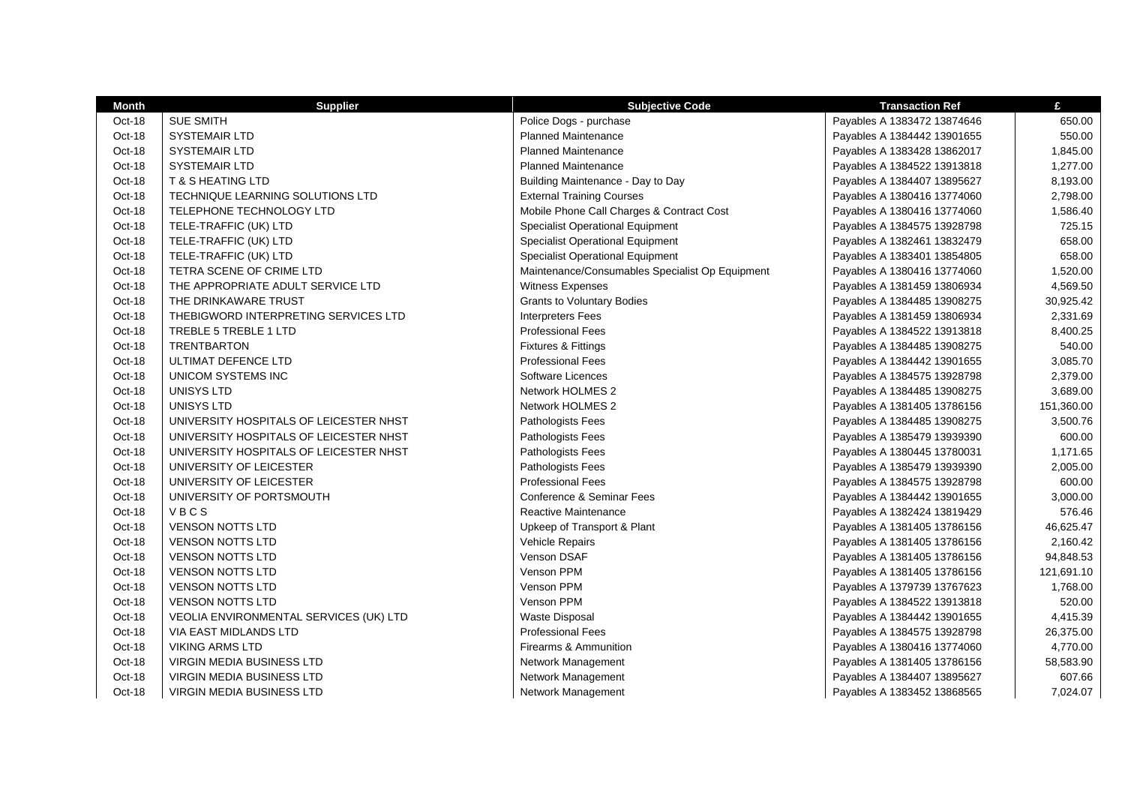| Month  | <b>Supplier</b>                        | <b>Subjective Code</b>                          | <b>Transaction Ref</b>      | £          |
|--------|----------------------------------------|-------------------------------------------------|-----------------------------|------------|
| Oct-18 | <b>SUE SMITH</b>                       | Police Dogs - purchase                          | Payables A 1383472 13874646 | 650.00     |
| Oct-18 | <b>SYSTEMAIR LTD</b>                   | <b>Planned Maintenance</b>                      | Payables A 1384442 13901655 | 550.00     |
| Oct-18 | <b>SYSTEMAIR LTD</b>                   | <b>Planned Maintenance</b>                      | Payables A 1383428 13862017 | 1,845.00   |
| Oct-18 | <b>SYSTEMAIR LTD</b>                   | <b>Planned Maintenance</b>                      | Payables A 1384522 13913818 | 1,277.00   |
| Oct-18 | T & S HEATING LTD                      | Building Maintenance - Day to Day               | Payables A 1384407 13895627 | 8,193.00   |
| Oct-18 | TECHNIQUE LEARNING SOLUTIONS LTD       | <b>External Training Courses</b>                | Payables A 1380416 13774060 | 2,798.00   |
| Oct-18 | TELEPHONE TECHNOLOGY LTD               | Mobile Phone Call Charges & Contract Cost       | Payables A 1380416 13774060 | 1,586.40   |
| Oct-18 | TELE-TRAFFIC (UK) LTD                  | <b>Specialist Operational Equipment</b>         | Payables A 1384575 13928798 | 725.15     |
| Oct-18 | TELE-TRAFFIC (UK) LTD                  | <b>Specialist Operational Equipment</b>         | Payables A 1382461 13832479 | 658.00     |
| Oct-18 | TELE-TRAFFIC (UK) LTD                  | <b>Specialist Operational Equipment</b>         | Payables A 1383401 13854805 | 658.00     |
| Oct-18 | TETRA SCENE OF CRIME LTD               | Maintenance/Consumables Specialist Op Equipment | Payables A 1380416 13774060 | 1,520.00   |
| Oct-18 | THE APPROPRIATE ADULT SERVICE LTD      | Witness Expenses                                | Payables A 1381459 13806934 | 4,569.50   |
| Oct-18 | THE DRINKAWARE TRUST                   | <b>Grants to Voluntary Bodies</b>               | Payables A 1384485 13908275 | 30,925.42  |
| Oct-18 | THEBIGWORD INTERPRETING SERVICES LTD   | <b>Interpreters Fees</b>                        | Payables A 1381459 13806934 | 2,331.69   |
| Oct-18 | TREBLE 5 TREBLE 1 LTD                  | <b>Professional Fees</b>                        | Payables A 1384522 13913818 | 8,400.25   |
| Oct-18 | <b>TRENTBARTON</b>                     | <b>Fixtures &amp; Fittings</b>                  | Payables A 1384485 13908275 | 540.00     |
| Oct-18 | ULTIMAT DEFENCE LTD                    | <b>Professional Fees</b>                        | Payables A 1384442 13901655 | 3,085.70   |
| Oct-18 | UNICOM SYSTEMS INC                     | Software Licences                               | Payables A 1384575 13928798 | 2,379.00   |
| Oct-18 | UNISYS LTD                             | Network HOLMES 2                                | Payables A 1384485 13908275 | 3,689.00   |
| Oct-18 | UNISYS LTD                             | Network HOLMES 2                                | Payables A 1381405 13786156 | 151,360.00 |
| Oct-18 | UNIVERSITY HOSPITALS OF LEICESTER NHST | Pathologists Fees                               | Payables A 1384485 13908275 | 3,500.76   |
| Oct-18 | UNIVERSITY HOSPITALS OF LEICESTER NHST | Pathologists Fees                               | Payables A 1385479 13939390 | 600.00     |
| Oct-18 | UNIVERSITY HOSPITALS OF LEICESTER NHST | Pathologists Fees                               | Payables A 1380445 13780031 | 1,171.65   |
| Oct-18 | UNIVERSITY OF LEICESTER                | Pathologists Fees                               | Payables A 1385479 13939390 | 2,005.00   |
| Oct-18 | UNIVERSITY OF LEICESTER                | <b>Professional Fees</b>                        | Payables A 1384575 13928798 | 600.00     |
| Oct-18 | UNIVERSITY OF PORTSMOUTH               | Conference & Seminar Fees                       | Payables A 1384442 13901655 | 3,000.00   |
| Oct-18 | VBCS                                   | <b>Reactive Maintenance</b>                     | Payables A 1382424 13819429 | 576.46     |
| Oct-18 | <b>VENSON NOTTS LTD</b>                | Upkeep of Transport & Plant                     | Payables A 1381405 13786156 | 46,625.47  |
| Oct-18 | <b>VENSON NOTTS LTD</b>                | <b>Vehicle Repairs</b>                          | Payables A 1381405 13786156 | 2,160.42   |
| Oct-18 | <b>VENSON NOTTS LTD</b>                | Venson DSAF                                     | Payables A 1381405 13786156 | 94,848.53  |
| Oct-18 | <b>VENSON NOTTS LTD</b>                | Venson PPM                                      | Payables A 1381405 13786156 | 121,691.10 |
| Oct-18 | <b>VENSON NOTTS LTD</b>                | Venson PPM                                      | Payables A 1379739 13767623 | 1,768.00   |
| Oct-18 | <b>VENSON NOTTS LTD</b>                | Venson PPM                                      | Payables A 1384522 13913818 | 520.00     |
| Oct-18 | VEOLIA ENVIRONMENTAL SERVICES (UK) LTD | <b>Waste Disposal</b>                           | Payables A 1384442 13901655 | 4,415.39   |
| Oct-18 | VIA EAST MIDLANDS LTD                  | <b>Professional Fees</b>                        | Payables A 1384575 13928798 | 26,375.00  |
| Oct-18 | <b>VIKING ARMS LTD</b>                 | Firearms & Ammunition                           | Payables A 1380416 13774060 | 4,770.00   |
| Oct-18 | <b>VIRGIN MEDIA BUSINESS LTD</b>       | Network Management                              | Payables A 1381405 13786156 | 58,583.90  |
| Oct-18 | <b>VIRGIN MEDIA BUSINESS LTD</b>       | Network Management                              | Payables A 1384407 13895627 | 607.66     |
| Oct-18 | <b>VIRGIN MEDIA BUSINESS LTD</b>       | <b>Network Management</b>                       | Payables A 1383452 13868565 | 7,024.07   |